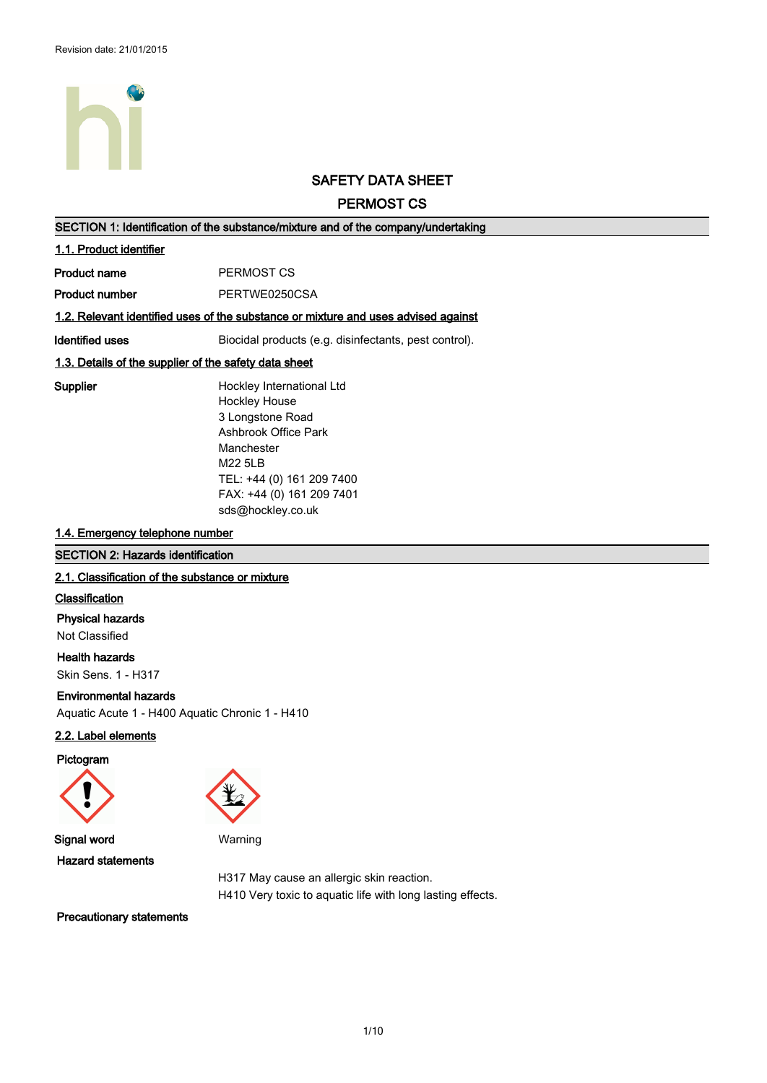

# **SAFETY DATA SHEET**

**PERMOST CS**

| SECTION 1: Identification of the substance/mixture and of the company/undertaking |                                                                                    |  |
|-----------------------------------------------------------------------------------|------------------------------------------------------------------------------------|--|
| 1.1. Product identifier                                                           |                                                                                    |  |
| Product name                                                                      | PERMOST CS                                                                         |  |
| Product number                                                                    | PERTWE0250CSA                                                                      |  |
|                                                                                   | 1.2. Relevant identified uses of the substance or mixture and uses advised against |  |
| Identified uses                                                                   | Biocidal products (e.g. disinfectants, pest control).                              |  |
|                                                                                   | 1.3. Details of the supplier of the safety data sheet                              |  |
| Supplier                                                                          | Hockley International Ltd                                                          |  |
|                                                                                   | <b>Hockley House</b>                                                               |  |
|                                                                                   | 3 Longstone Road                                                                   |  |
|                                                                                   | Ashbrook Office Park                                                               |  |
|                                                                                   | Manchester                                                                         |  |
|                                                                                   | M22 5LB                                                                            |  |
|                                                                                   | TEL: +44 (0) 161 209 7400                                                          |  |
|                                                                                   | FAX: +44 (0) 161 209 7401                                                          |  |
|                                                                                   | sds@hockley.co.uk                                                                  |  |

#### **1.4. Emergency telephone number**

#### **SECTION 2: Hazards identification**

### **2.1. Classification of the substance or mixture**

#### **Classification**

### **Physical hazards**

Not Classified

**Health hazards** Skin Sens. 1 - H317

#### **Environmental hazards**

Aquatic Acute 1 - H400 Aquatic Chronic 1 - H410

# **2.2. Label elements**

**Pictogram**





**Signal word** Warning **Hazard statements**

H317 May cause an allergic skin reaction. H410 Very toxic to aquatic life with long lasting effects.

**Precautionary statements**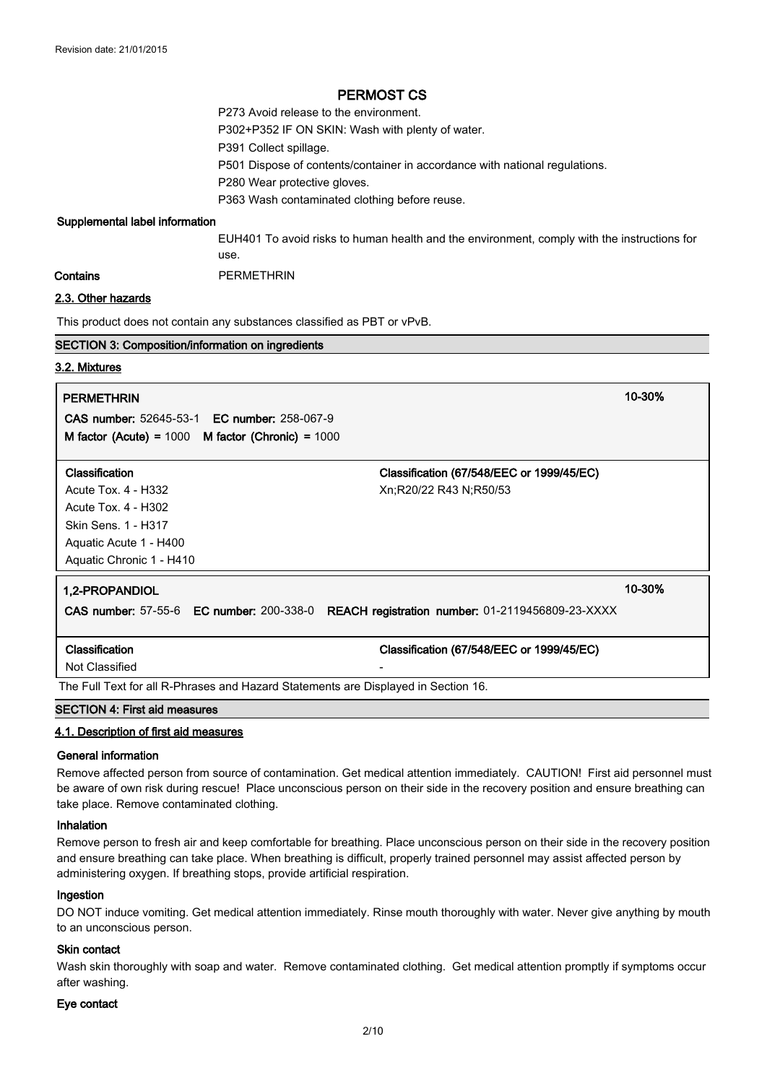P273 Avoid release to the environment. P302+P352 IF ON SKIN: Wash with plenty of water. P391 Collect spillage. P501 Dispose of contents/container in accordance with national regulations. P280 Wear protective gloves. P363 Wash contaminated clothing before reuse.

#### **Supplemental label information**

EUH401 To avoid risks to human health and the environment, comply with the instructions for use.

**Contains** PERMETHRIN

#### **2.3. Other hazards**

This product does not contain any substances classified as PBT or vPvB.

#### **SECTION 3: Composition/information on ingredients**

#### **3.2. Mixtures**

#### **PERMETHRIN 10-30%**

**CAS number:** 52645-53-1 **EC number:** 258-067-9 **M factor (Acute) =** 1000 **M factor (Chronic) =** 1000

| Classification           | Classification (67/548/EEC or 1999/45/EC)                                                 |
|--------------------------|-------------------------------------------------------------------------------------------|
| Acute Tox. 4 - H332      | Xn;R20/22 R43 N;R50/53                                                                    |
| Acute Tox. $4 - H302$    |                                                                                           |
| Skin Sens. 1 - H317      |                                                                                           |
| Aguatic Acute 1 - H400   |                                                                                           |
| Aquatic Chronic 1 - H410 |                                                                                           |
| 1,2-PROPANDIOL           | 10-30%                                                                                    |
|                          | CAS number: 57-55-6 EC number: 200-338-0 REACH registration number: 01-2119456809-23-XXXX |
|                          |                                                                                           |
| Classification           | Classification (67/548/EEC or 1999/45/EC)                                                 |

Not Classified

The Full Text for all R-Phrases and Hazard Statements are Displayed in Section 16.

## **SECTION 4: First aid measures**

#### **4.1. Description of first aid measures**

#### **General information**

Remove affected person from source of contamination. Get medical attention immediately. CAUTION! First aid personnel must be aware of own risk during rescue! Place unconscious person on their side in the recovery position and ensure breathing can take place. Remove contaminated clothing.

#### **Inhalation**

Remove person to fresh air and keep comfortable for breathing. Place unconscious person on their side in the recovery position and ensure breathing can take place. When breathing is difficult, properly trained personnel may assist affected person by administering oxygen. If breathing stops, provide artificial respiration.

#### **Ingestion**

DO NOT induce vomiting. Get medical attention immediately. Rinse mouth thoroughly with water. Never give anything by mouth to an unconscious person.

#### **Skin contact**

Wash skin thoroughly with soap and water. Remove contaminated clothing. Get medical attention promptly if symptoms occur after washing.

#### **Eye contact**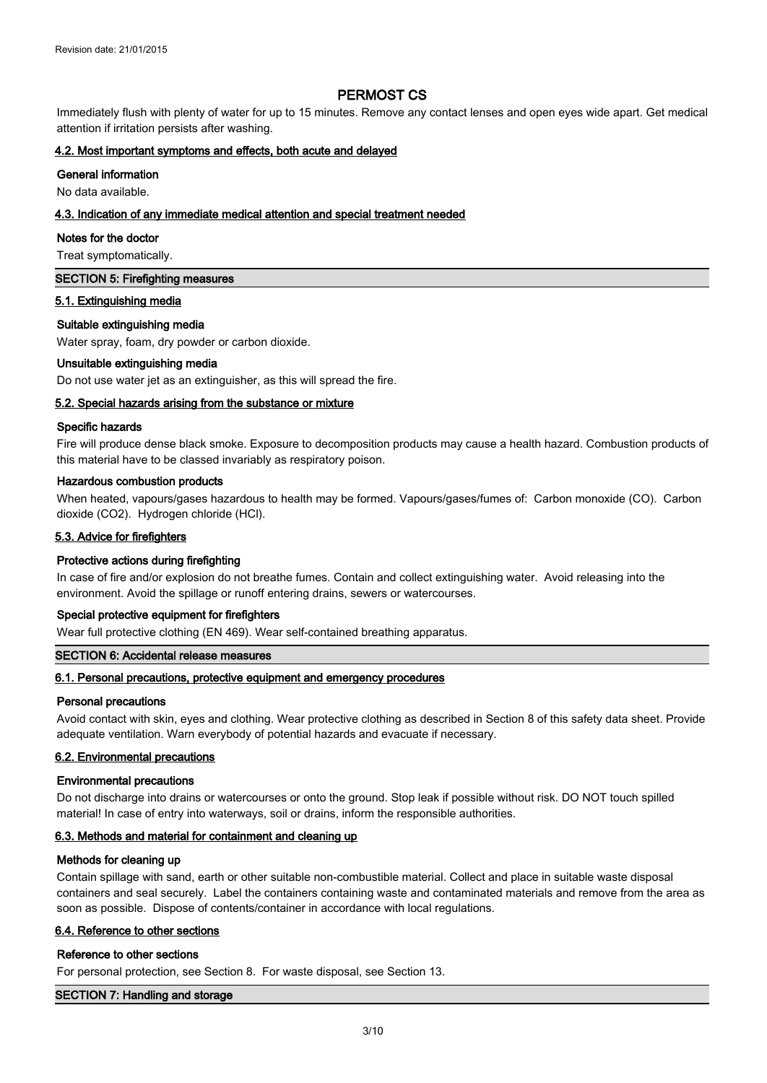Immediately flush with plenty of water for up to 15 minutes. Remove any contact lenses and open eyes wide apart. Get medical attention if irritation persists after washing.

#### **4.2. Most important symptoms and effects, both acute and delayed**

#### **General information**

No data available.

### **4.3. Indication of any immediate medical attention and special treatment needed**

#### **Notes for the doctor**

Treat symptomatically.

#### **SECTION 5: Firefighting measures**

#### **5.1. Extinguishing media**

#### **Suitable extinguishing media**

Water spray, foam, dry powder or carbon dioxide.

#### **Unsuitable extinguishing media**

Do not use water jet as an extinguisher, as this will spread the fire.

#### **5.2. Special hazards arising from the substance or mixture**

#### **Specific hazards**

Fire will produce dense black smoke. Exposure to decomposition products may cause a health hazard. Combustion products of this material have to be classed invariably as respiratory poison.

#### **Hazardous combustion products**

When heated, vapours/gases hazardous to health may be formed. Vapours/gases/fumes of: Carbon monoxide (CO). Carbon dioxide (CO2). Hydrogen chloride (HCl).

#### **5.3. Advice for firefighters**

#### **Protective actions during firefighting**

In case of fire and/or explosion do not breathe fumes. Contain and collect extinguishing water. Avoid releasing into the environment. Avoid the spillage or runoff entering drains, sewers or watercourses.

#### **Special protective equipment for firefighters**

Wear full protective clothing (EN 469). Wear self-contained breathing apparatus.

#### **SECTION 6: Accidental release measures**

#### **6.1. Personal precautions, protective equipment and emergency procedures**

#### **Personal precautions**

Avoid contact with skin, eyes and clothing. Wear protective clothing as described in Section 8 of this safety data sheet. Provide adequate ventilation. Warn everybody of potential hazards and evacuate if necessary.

#### **6.2. Environmental precautions**

#### **Environmental precautions**

Do not discharge into drains or watercourses or onto the ground. Stop leak if possible without risk. DO NOT touch spilled material! In case of entry into waterways, soil or drains, inform the responsible authorities.

#### **6.3. Methods and material for containment and cleaning up**

#### **Methods for cleaning up**

Contain spillage with sand, earth or other suitable non-combustible material. Collect and place in suitable waste disposal containers and seal securely. Label the containers containing waste and contaminated materials and remove from the area as soon as possible. Dispose of contents/container in accordance with local regulations.

#### **6.4. Reference to other sections**

#### **Reference to other sections**

For personal protection, see Section 8. For waste disposal, see Section 13.

#### **SECTION 7: Handling and storage**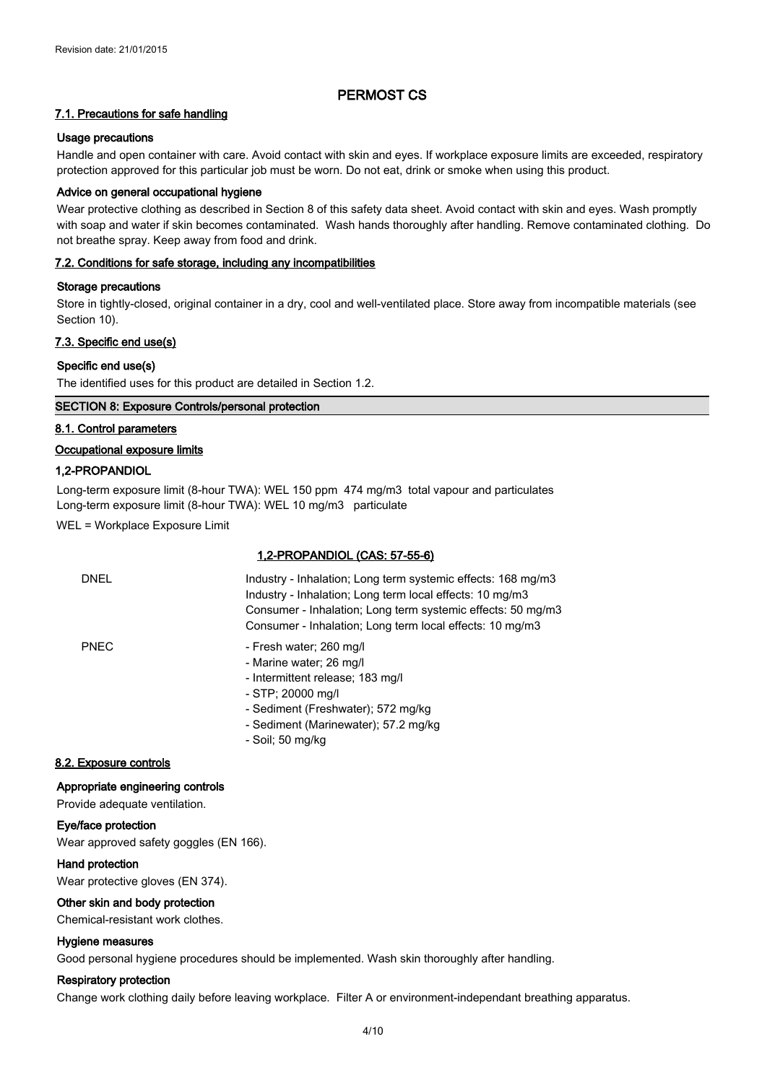#### **7.1. Precautions for safe handling**

#### **Usage precautions**

Handle and open container with care. Avoid contact with skin and eyes. If workplace exposure limits are exceeded, respiratory protection approved for this particular job must be worn. Do not eat, drink or smoke when using this product.

#### **Advice on general occupational hygiene**

Wear protective clothing as described in Section 8 of this safety data sheet. Avoid contact with skin and eyes. Wash promptly with soap and water if skin becomes contaminated. Wash hands thoroughly after handling. Remove contaminated clothing. Do not breathe spray. Keep away from food and drink.

#### **7.2. Conditions for safe storage, including any incompatibilities**

#### **Storage precautions**

Store in tightly-closed, original container in a dry, cool and well-ventilated place. Store away from incompatible materials (see Section 10).

#### **7.3. Specific end use(s)**

#### **Specific end use(s)**

The identified uses for this product are detailed in Section 1.2.

#### **SECTION 8: Exposure Controls/personal protection**

#### **8.1. Control parameters**

#### **Occupational exposure limits**

#### **1,2-PROPANDIOL**

Long-term exposure limit (8-hour TWA): WEL 150 ppm 474 mg/m3 total vapour and particulates Long-term exposure limit (8-hour TWA): WEL 10 mg/m3 particulate

WEL = Workplace Exposure Limit

#### **1,2-PROPANDIOL (CAS: 57-55-6)**

| <b>DNEL</b> | Industry - Inhalation; Long term systemic effects: 168 mg/m3<br>Industry - Inhalation; Long term local effects: 10 mg/m3<br>Consumer - Inhalation: Long term systemic effects: 50 mg/m3<br>Consumer - Inhalation; Long term local effects: 10 mg/m3  |
|-------------|------------------------------------------------------------------------------------------------------------------------------------------------------------------------------------------------------------------------------------------------------|
| <b>PNEC</b> | - Fresh water; 260 mg/l<br>- Marine water; 26 mg/l<br>- Intermittent release; 183 mg/l<br>- STP; 20000 mg/l<br>- Sediment (Freshwater); 572 mg/kg<br>$0$ and $\left(0.1\right)$ and $\left(0.1\right)$ and $\left(0.1\right)$ and $\left(0.1\right)$ |

- Sediment (Marinewater); 57.2 mg/kg
- Soil; 50 mg/kg

#### **8.2. Exposure controls**

#### **Appropriate engineering controls**

Provide adequate ventilation.

### **Eye/face protection**

Wear approved safety goggles (EN 166).

#### **Hand protection**

Wear protective gloves (EN 374).

#### **Other skin and body protection**

Chemical-resistant work clothes.

#### **Hygiene measures**

Good personal hygiene procedures should be implemented. Wash skin thoroughly after handling.

#### **Respiratory protection**

Change work clothing daily before leaving workplace. Filter A or environment-independant breathing apparatus.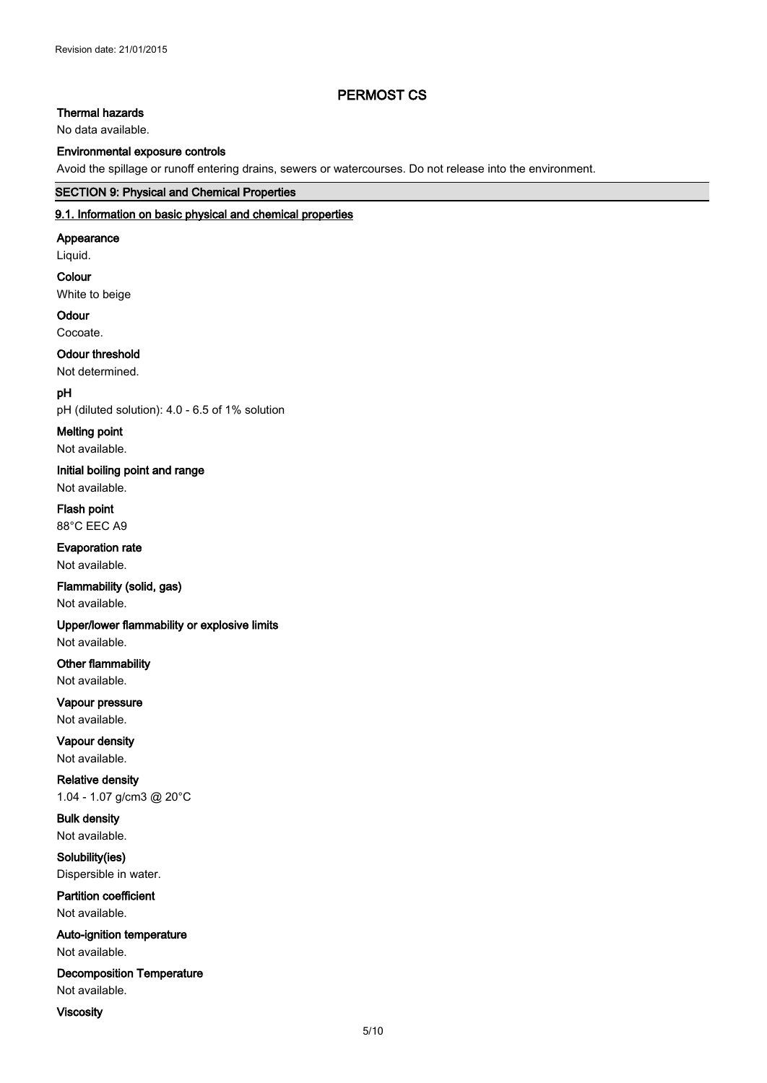# **Thermal hazards**

No data available.

### **Environmental exposure controls**

Avoid the spillage or runoff entering drains, sewers or watercourses. Do not release into the environment.

### **SECTION 9: Physical and Chemical Properties**

# **9.1. Information on basic physical and chemical properties**

#### **Appearance**

Liquid.

# **Colour**

White to beige

# **Odour**

Cocoate.

# **Odour threshold**

Not determined.

# **pH**

pH (diluted solution): 4.0 - 6.5 of 1% solution

# **Melting point**

Not available.

### **Initial boiling point and range** Not available.

**Flash point** 88°C EEC A9

### **Evaporation rate**

Not available.

# **Flammability (solid, gas)**

Not available.

# **Upper/lower flammability or explosive limits**

Not available.

# **Other flammability**

Not available.

#### **Vapour pressure** Not available.

**Vapour density** Not available.

# **Relative density** 1.04 - 1.07 g/cm3 @ 20°C

**Bulk density** Not available.

# **Solubility(ies)**

Dispersible in water.

# **Partition coefficient** Not available.

**Auto-ignition temperature** Not available.

# **Decomposition Temperature** Not available.

**Viscosity**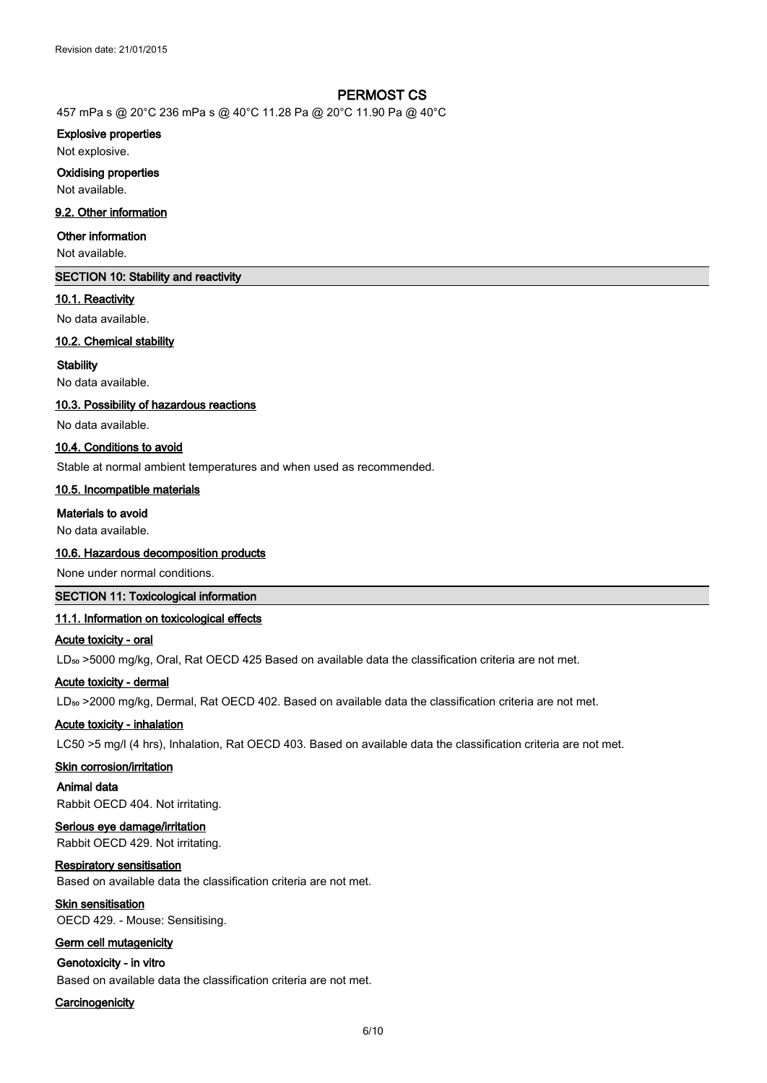457 mPa s @ 20°C 236 mPa s @ 40°C 11.28 Pa @ 20°C 11.90 Pa @ 40°C

#### **Explosive properties**

Not explosive.

#### **Oxidising properties**

Not available.

#### **9.2. Other information**

#### **Other information**

Not available.

# **SECTION 10: Stability and reactivity**

#### **10.1. Reactivity**

No data available.

#### **10.2. Chemical stability**

#### **Stability**

No data available.

#### **10.3. Possibility of hazardous reactions**

No data available.

#### **10.4. Conditions to avoid**

Stable at normal ambient temperatures and when used as recommended.

#### **10.5. Incompatible materials**

#### **Materials to avoid**

No data available.

#### **10.6. Hazardous decomposition products**

None under normal conditions.

### **SECTION 11: Toxicological information**

# **11.1. Information on toxicological effects**

#### **Acute toxicity - oral**

LD<sub>50</sub> >5000 mg/kg, Oral, Rat OECD 425 Based on available data the classification criteria are not met.

#### **Acute toxicity - dermal**

LD<sub>so</sub> >2000 mg/kg, Dermal, Rat OECD 402. Based on available data the classification criteria are not met.

#### **Acute toxicity - inhalation**

LC50 >5 mg/l (4 hrs), Inhalation, Rat OECD 403. Based on available data the classification criteria are not met.

#### **Skin corrosion/irritation**

**Animal data**

# Rabbit OECD 404. Not irritating. **Serious eye damage/irritation**

Rabbit OECD 429. Not irritating.

#### **Respiratory sensitisation**

Based on available data the classification criteria are not met.

# **Skin sensitisation**

OECD 429. - Mouse: Sensitising.

# **Germ cell mutagenicity**

# **Genotoxicity - in vitro**

Based on available data the classification criteria are not met.

#### **Carcinogenicity**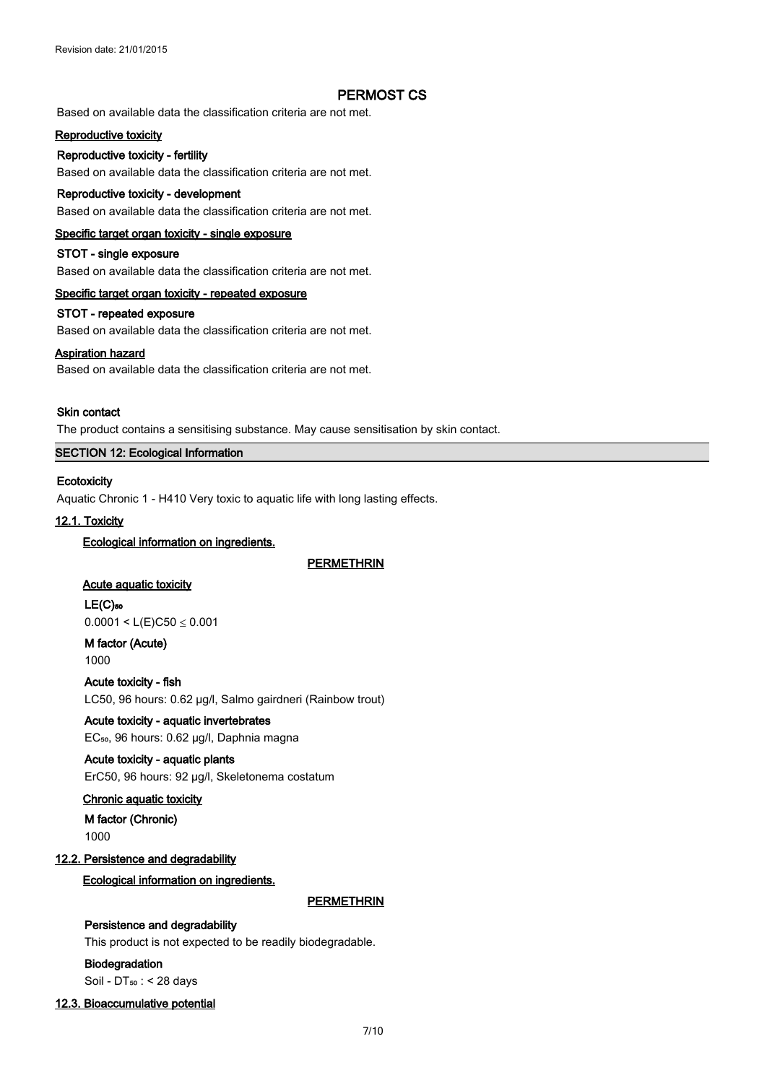Based on available data the classification criteria are not met.

#### **Reproductive toxicity**

#### **Reproductive toxicity - fertility**

Based on available data the classification criteria are not met.

#### **Reproductive toxicity - development**

Based on available data the classification criteria are not met.

#### **Specific target organ toxicity - single exposure**

#### **STOT - single exposure**

Based on available data the classification criteria are not met.

#### **Specific target organ toxicity - repeated exposure**

# **STOT - repeated exposure**

Based on available data the classification criteria are not met.

#### **Aspiration hazard**

Based on available data the classification criteria are not met.

#### **Skin contact**

The product contains a sensitising substance. May cause sensitisation by skin contact.

# **SECTION 12: Ecological Information**

#### **Ecotoxicity**

Aquatic Chronic 1 - H410 Very toxic to aquatic life with long lasting effects.

# **12.1. Toxicity**

#### **Ecological information on ingredients.**

**PERMETHRIN**

#### **Acute aquatic toxicity**

**LE(C)₅₀**

 $0.0001 < L(E)C50 \le 0.001$ 

**M factor (Acute)** 1000

**Acute toxicity - fish** LC50, 96 hours: 0.62 µg/l, Salmo gairdneri (Rainbow trout)

## **Acute toxicity - aquatic invertebrates** EC<sub>50</sub>, 96 hours: 0.62 µg/l, Daphnia magna

**Acute toxicity - aquatic plants**

ErC50, 96 hours: 92 µg/l, Skeletonema costatum

# **Chronic aquatic toxicity**

**M factor (Chronic)**

1000

#### **12.2. Persistence and degradability**

### **Ecological information on ingredients.**

**PERMETHRIN**

# **Persistence and degradability**

This product is not expected to be readily biodegradable.

### **Biodegradation**

Soil -  $DT_{50}$  : < 28 days

#### **12.3. Bioaccumulative potential**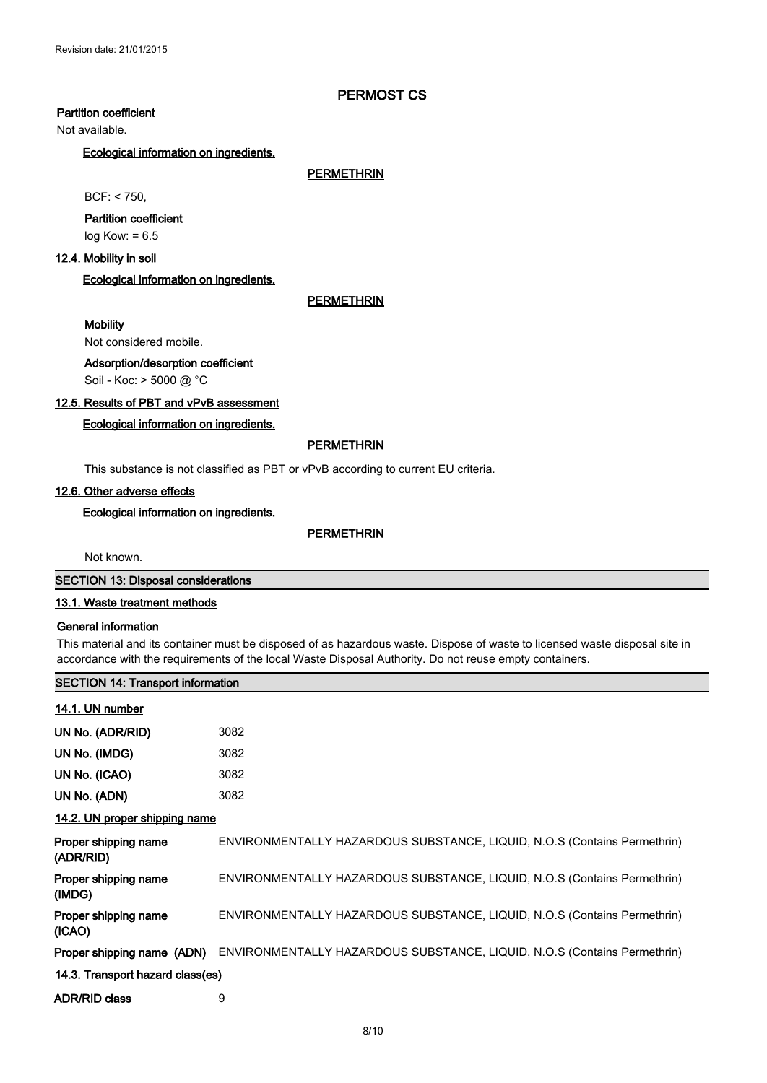# **Partition coefficient**

Not available.

#### **Ecological information on ingredients.**

**PERMETHRIN**

BCF: < 750,

# **Partition coefficient**

log Kow: = 6.5

# **12.4. Mobility in soil**

## **Ecological information on ingredients.**

#### **PERMETHRIN**

#### **Mobility**

Not considered mobile.

#### **Adsorption/desorption coefficient**

Soil - Koc: > 5000 @ °C

# **12.5. Results of PBT and vPvB assessment**

# **Ecological information on ingredients.**

### **PERMETHRIN**

This substance is not classified as PBT or vPvB according to current EU criteria.

#### **12.6. Other adverse effects**

**Ecological information on ingredients.**

#### **PERMETHRIN**

Not known.

#### **SECTION 13: Disposal considerations**

#### **13.1. Waste treatment methods**

#### **General information**

This material and its container must be disposed of as hazardous waste. Dispose of waste to licensed waste disposal site in accordance with the requirements of the local Waste Disposal Authority. Do not reuse empty containers.

#### **SECTION 14: Transport information**

#### **14.1. UN number**

| UN No. (ADR/RID) | 3082 |
|------------------|------|
| UN No. (IMDG)    | 3082 |
| UN No. (ICAO)    | 3082 |
| UN No. (ADN)     | 3082 |

#### **14.2. UN proper shipping name**

| Proper shipping name<br>(ADR/RID) | ENVIRONMENTALLY HAZARDOUS SUBSTANCE, LIQUID, N.O.S (Contains Permethrin) |  |
|-----------------------------------|--------------------------------------------------------------------------|--|
| Proper shipping name<br>(IMDG)    | ENVIRONMENTALLY HAZARDOUS SUBSTANCE, LIQUID, N.O.S (Contains Permethrin) |  |
| Proper shipping name<br>(ICAO)    | ENVIRONMENTALLY HAZARDOUS SUBSTANCE, LIQUID, N.O.S (Contains Permethrin) |  |
| Proper shipping name (ADN)        | ENVIRONMENTALLY HAZARDOUS SUBSTANCE, LIQUID, N.O.S (Contains Permethrin) |  |
| 14.3. Transport hazard class(es)  |                                                                          |  |
| <b>ADR/RID class</b>              | 9                                                                        |  |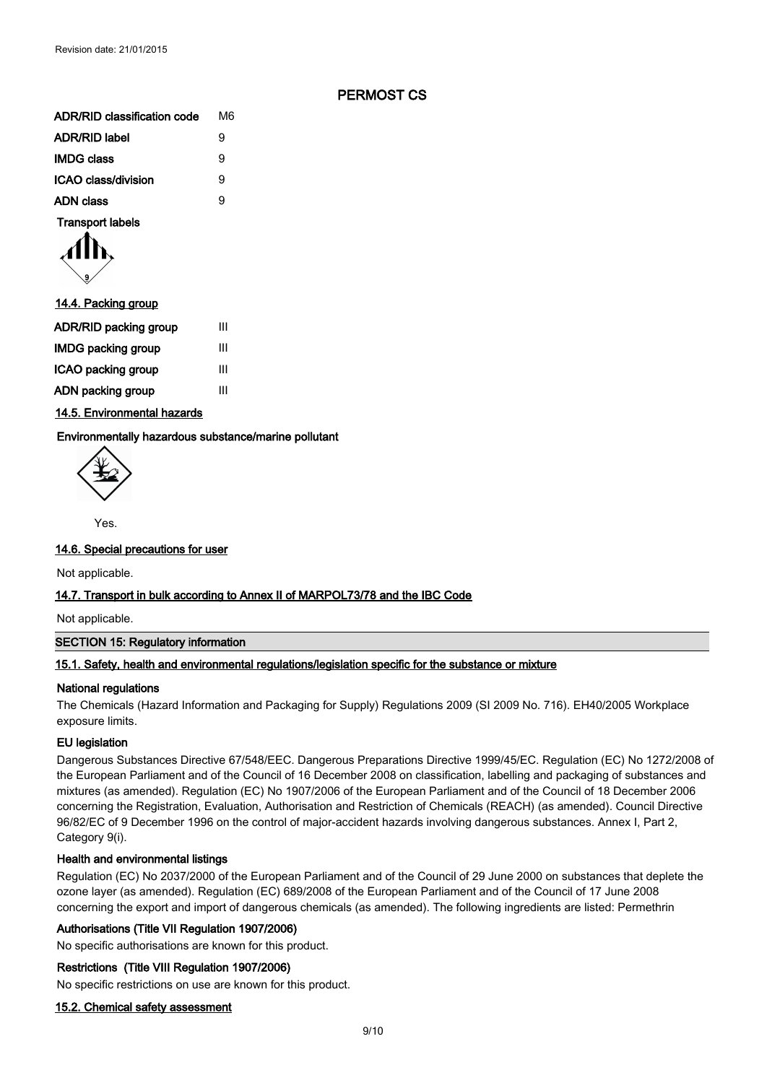| <b>ADR/RID classification code</b> | M6 |
|------------------------------------|----|
| <b>ADR/RID label</b>               | 9  |
| <b>IMDG class</b>                  | 9  |
| ICAO class/division                | 9  |
| <b>ADN class</b>                   | 9  |
|                                    |    |

**Transport labels**

$$
\langle \prod_{\mathfrak{s}}
$$

| 14.4. Packing group          |   |
|------------------------------|---|
| <b>ADR/RID packing group</b> | Ш |
| IMDG packing group           | Ш |
| ICAO packing group           | Ш |
| ADN packing group            | Ш |
|                              |   |

**14.5. Environmental hazards**

**Environmentally hazardous substance/marine pollutant**

Yes.

#### **14.6. Special precautions for user**

Not applicable.

#### **14.7. Transport in bulk according to Annex II of MARPOL73/78 and the IBC Code**

Not applicable.

#### **SECTION 15: Regulatory information**

#### **15.1. Safety, health and environmental regulations/legislation specific for the substance or mixture**

#### **National regulations**

The Chemicals (Hazard Information and Packaging for Supply) Regulations 2009 (SI 2009 No. 716). EH40/2005 Workplace exposure limits.

### **EU legislation**

Dangerous Substances Directive 67/548/EEC. Dangerous Preparations Directive 1999/45/EC. Regulation (EC) No 1272/2008 of the European Parliament and of the Council of 16 December 2008 on classification, labelling and packaging of substances and mixtures (as amended). Regulation (EC) No 1907/2006 of the European Parliament and of the Council of 18 December 2006 concerning the Registration, Evaluation, Authorisation and Restriction of Chemicals (REACH) (as amended). Council Directive 96/82/EC of 9 December 1996 on the control of major-accident hazards involving dangerous substances. Annex I, Part 2, Category 9(i).

#### **Health and environmental listings**

Regulation (EC) No 2037/2000 of the European Parliament and of the Council of 29 June 2000 on substances that deplete the ozone layer (as amended). Regulation (EC) 689/2008 of the European Parliament and of the Council of 17 June 2008 concerning the export and import of dangerous chemicals (as amended). The following ingredients are listed: Permethrin

#### **Authorisations (Title VII Regulation 1907/2006)**

No specific authorisations are known for this product.

#### **Restrictions (Title VIII Regulation 1907/2006)**

No specific restrictions on use are known for this product.

#### **15.2. Chemical safety assessment**